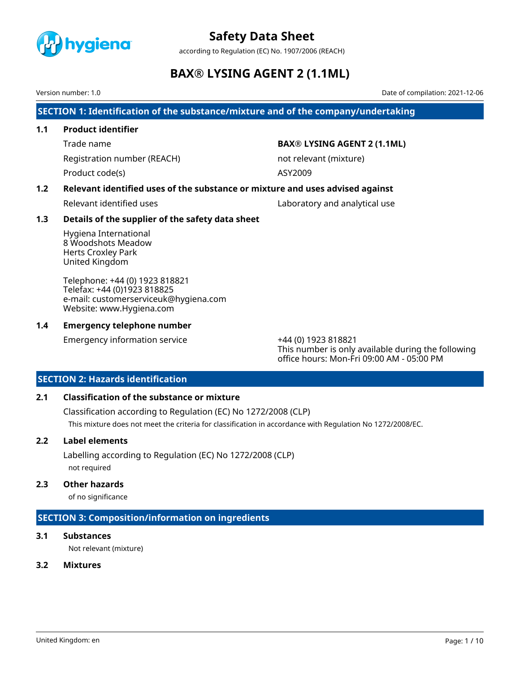

according to Regulation (EC) No. 1907/2006 (REACH)

# **BAX® LYSING AGENT 2 (1.1ML)**

Version number: 1.0 Date of compilation: 2021-12-06

**SECTION 1: Identification of the substance/mixture and of the company/undertaking**

### **1.1 Product identifier**

Registration number (REACH) not relevant (mixture)

Product code(s) ASY2009

### Trade name **BAX® LYSING AGENT 2 (1.1ML)**

### **1.2 Relevant identified uses of the substance or mixture and uses advised against**

Relevant identified uses and analytical use Laboratory and analytical use

### **1.3 Details of the supplier of the safety data sheet**

Hygiena International 8 Woodshots Meadow Herts Croxley Park United Kingdom

Telephone: +44 (0) 1923 818821 Telefax: +44 (0)1923 818825 e-mail: customerserviceuk@hygiena.com Website: www.Hygiena.com

### **1.4 Emergency telephone number**

Emergency information service +44 (0) 1923 818821

This number is only available during the following office hours: Mon-Fri 09:00 AM - 05:00 PM

### **SECTION 2: Hazards identification**

### **2.1 Classification of the substance or mixture**

Classification according to Regulation (EC) No 1272/2008 (CLP) This mixture does not meet the criteria for classification in accordance with Regulation No 1272/2008/EC.

### **2.2 Label elements**

Labelling according to Regulation (EC) No 1272/2008 (CLP) not required

#### **2.3 Other hazards**

of no significance

# **SECTION 3: Composition/information on ingredients**

# **3.1 Substances**

Not relevant (mixture)

# **3.2 Mixtures**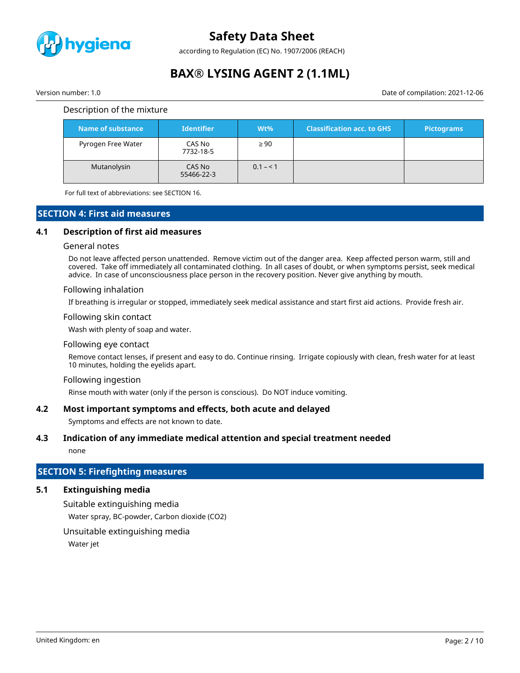

according to Regulation (EC) No. 1907/2006 (REACH)

# **BAX® LYSING AGENT 2 (1.1ML)**

Version number: 1.0 Date of compilation: 2021-12-06

#### Description of the mixture

| Name of substance  | <b>Identifier</b>    | $Wt\%$    | <b>Classification acc. to GHS</b> | <b>Pictograms</b> |
|--------------------|----------------------|-----------|-----------------------------------|-------------------|
| Pyrogen Free Water | CAS No<br>7732-18-5  | $\geq 90$ |                                   |                   |
| Mutanolysin        | CAS No<br>55466-22-3 | $0.1 - 1$ |                                   |                   |

For full text of abbreviations: see SECTION 16.

#### **SECTION 4: First aid measures**

#### **4.1 Description of first aid measures**

#### General notes

Do not leave affected person unattended. Remove victim out of the danger area. Keep affected person warm, still and covered. Take off immediately all contaminated clothing. In all cases of doubt, or when symptoms persist, seek medical advice. In case of unconsciousness place person in the recovery position. Never give anything by mouth.

#### Following inhalation

If breathing is irregular or stopped, immediately seek medical assistance and start first aid actions. Provide fresh air.

#### Following skin contact

Wash with plenty of soap and water.

#### Following eye contact

Remove contact lenses, if present and easy to do. Continue rinsing. Irrigate copiously with clean, fresh water for at least 10 minutes, holding the eyelids apart.

#### Following ingestion

Rinse mouth with water (only if the person is conscious). Do NOT induce vomiting.

#### **4.2 Most important symptoms and effects, both acute and delayed**

Symptoms and effects are not known to date.

#### **4.3 Indication of any immediate medical attention and special treatment needed**

none

# **SECTION 5: Firefighting measures**

### **5.1 Extinguishing media**

Suitable extinguishing media Water spray, BC-powder, Carbon dioxide (CO2)

Unsuitable extinguishing media

Water jet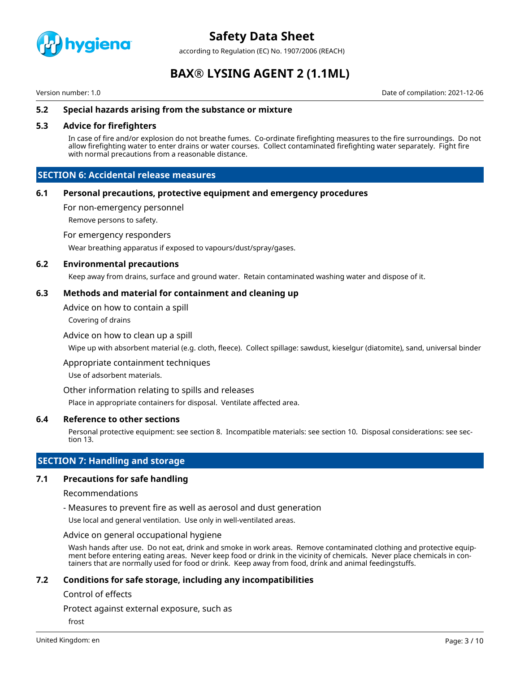

according to Regulation (EC) No. 1907/2006 (REACH)

# **BAX® LYSING AGENT 2 (1.1ML)**

Version number: 1.0 Date of compilation: 2021-12-06

#### **5.2 Special hazards arising from the substance or mixture**

#### **5.3 Advice for firefighters**

In case of fire and/or explosion do not breathe fumes. Co-ordinate firefighting measures to the fire surroundings. Do not allow firefighting water to enter drains or water courses. Collect contaminated firefighting water separately. Fight fire with normal precautions from a reasonable distance.

#### **SECTION 6: Accidental release measures**

#### **6.1 Personal precautions, protective equipment and emergency procedures**

For non-emergency personnel

Remove persons to safety.

For emergency responders

Wear breathing apparatus if exposed to vapours/dust/spray/gases.

#### **6.2 Environmental precautions**

Keep away from drains, surface and ground water. Retain contaminated washing water and dispose of it.

#### **6.3 Methods and material for containment and cleaning up**

Advice on how to contain a spill

Covering of drains

#### Advice on how to clean up a spill

Wipe up with absorbent material (e.g. cloth, fleece). Collect spillage: sawdust, kieselgur (diatomite), sand, universal binder

Appropriate containment techniques

Use of adsorbent materials.

Other information relating to spills and releases

Place in appropriate containers for disposal. Ventilate affected area.

#### **6.4 Reference to other sections**

Personal protective equipment: see section 8. Incompatible materials: see section 10. Disposal considerations: see section 13.

#### **SECTION 7: Handling and storage**

#### **7.1 Precautions for safe handling**

#### Recommendations

- Measures to prevent fire as well as aerosol and dust generation

Use local and general ventilation. Use only in well-ventilated areas.

Advice on general occupational hygiene

Wash hands after use. Do not eat, drink and smoke in work areas. Remove contaminated clothing and protective equipment before entering eating areas. Never keep food or drink in the vicinity of chemicals. Never place chemicals in containers that are normally used for food or drink. Keep away from food, drink and animal feedingstuffs.

#### **7.2 Conditions for safe storage, including any incompatibilities**

#### Control of effects

Protect against external exposure, such as

frost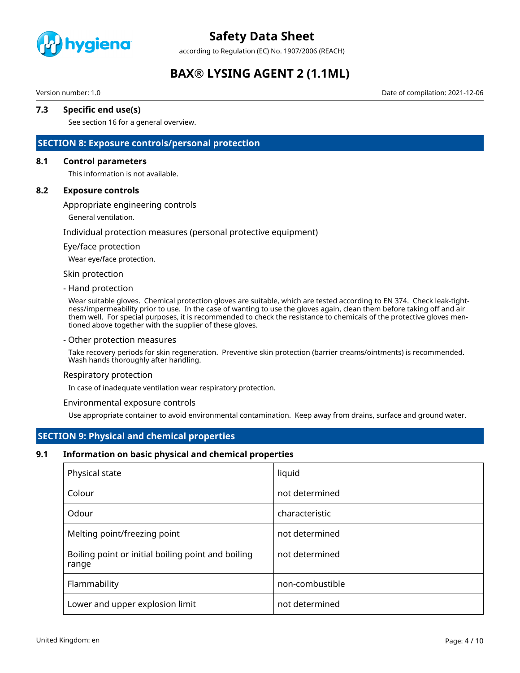

according to Regulation (EC) No. 1907/2006 (REACH)

# **BAX® LYSING AGENT 2 (1.1ML)**

Version number: 1.0 Date of compilation: 2021-12-06

#### **7.3 Specific end use(s)**

See section 16 for a general overview.

#### **SECTION 8: Exposure controls/personal protection**

#### **8.1 Control parameters**

This information is not available.

#### **8.2 Exposure controls**

#### Appropriate engineering controls

General ventilation.

#### Individual protection measures (personal protective equipment)

#### Eye/face protection

Wear eye/face protection.

#### Skin protection

#### - Hand protection

Wear suitable gloves. Chemical protection gloves are suitable, which are tested according to EN 374. Check leak-tightness/impermeability prior to use. In the case of wanting to use the gloves again, clean them before taking off and air them well. For special purposes, it is recommended to check the resistance to chemicals of the protective gloves mentioned above together with the supplier of these gloves.

#### - Other protection measures

Take recovery periods for skin regeneration. Preventive skin protection (barrier creams/ointments) is recommended. Wash hands thoroughly after handling.

#### Respiratory protection

In case of inadequate ventilation wear respiratory protection.

#### Environmental exposure controls

Use appropriate container to avoid environmental contamination. Keep away from drains, surface and ground water.

### **SECTION 9: Physical and chemical properties**

#### **9.1 Information on basic physical and chemical properties**

| Physical state                                              | liquid          |
|-------------------------------------------------------------|-----------------|
| Colour                                                      | not determined  |
| Odour                                                       | characteristic  |
| Melting point/freezing point                                | not determined  |
| Boiling point or initial boiling point and boiling<br>range | not determined  |
| Flammability                                                | non-combustible |
| Lower and upper explosion limit                             | not determined  |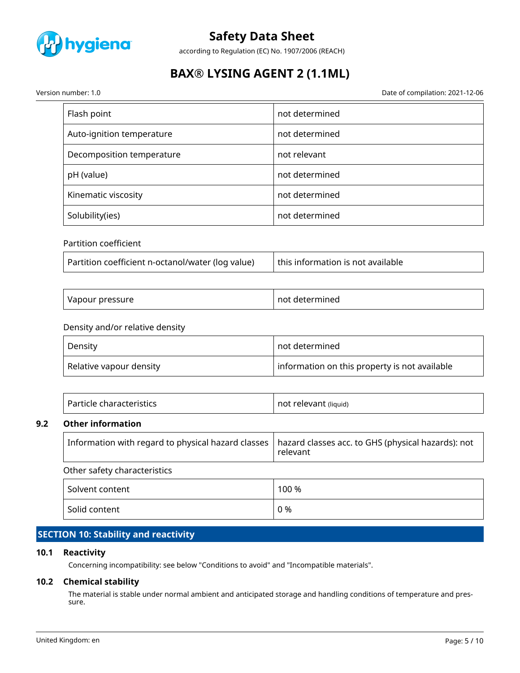

according to Regulation (EC) No. 1907/2006 (REACH)

# **BAX® LYSING AGENT 2 (1.1ML)**

Date of compilation: 2021-12-06

| Version number: 1.0 |  |
|---------------------|--|
|---------------------|--|

| Flash point               | not determined |
|---------------------------|----------------|
| Auto-ignition temperature | not determined |
| Decomposition temperature | not relevant   |
| pH (value)                | not determined |
| Kinematic viscosity       | not determined |
| Solubility(ies)           | not determined |

### Partition coefficient

| Partition coefficient n-octanol/water (log value) | this information is not available |
|---------------------------------------------------|-----------------------------------|
|---------------------------------------------------|-----------------------------------|

| <sup>.</sup> pressure<br>Vapour | not<br>rmined<br>புபு |
|---------------------------------|-----------------------|
|---------------------------------|-----------------------|

### Density and/or relative density

| Density                 | not determined                                |
|-------------------------|-----------------------------------------------|
| Relative vapour density | information on this property is not available |

| Particle characteristics | not relevant (liquid) |
|--------------------------|-----------------------|
|                          |                       |

#### **9.2 Other information**

| Information with regard to physical hazard classes   hazard classes acc. to GHS (physical hazards): not | relevant |  |
|---------------------------------------------------------------------------------------------------------|----------|--|
| Other safety characteristics                                                                            |          |  |
| Solvent content                                                                                         | 100 %    |  |
| Solid content                                                                                           | 0 %      |  |

# **SECTION 10: Stability and reactivity**

### **10.1 Reactivity**

Concerning incompatibility: see below "Conditions to avoid" and "Incompatible materials".

#### **10.2 Chemical stability**

The material is stable under normal ambient and anticipated storage and handling conditions of temperature and pressure.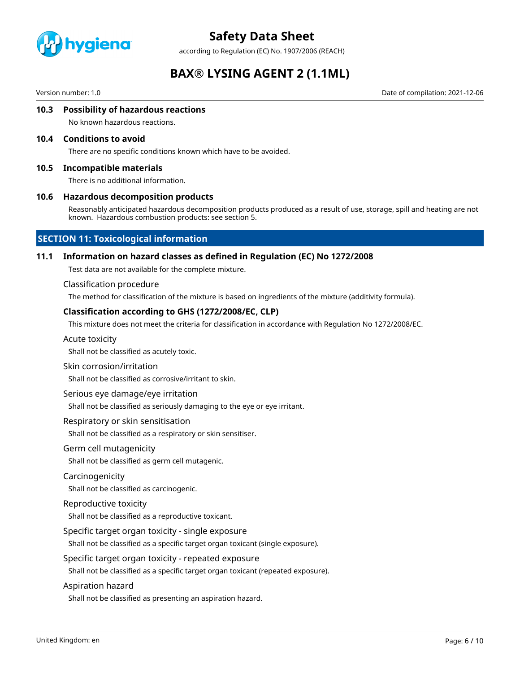

according to Regulation (EC) No. 1907/2006 (REACH)

# **BAX® LYSING AGENT 2 (1.1ML)**

Version number: 1.0 Date of compilation: 2021-12-06

#### **10.3 Possibility of hazardous reactions**

No known hazardous reactions.

#### **10.4 Conditions to avoid**

There are no specific conditions known which have to be avoided.

#### **10.5 Incompatible materials**

There is no additional information.

#### **10.6 Hazardous decomposition products**

Reasonably anticipated hazardous decomposition products produced as a result of use, storage, spill and heating are not known. Hazardous combustion products: see section 5.

### **SECTION 11: Toxicological information**

#### **11.1 Information on hazard classes as defined in Regulation (EC) No 1272/2008**

Test data are not available for the complete mixture.

#### Classification procedure

The method for classification of the mixture is based on ingredients of the mixture (additivity formula).

#### **Classification according to GHS (1272/2008/EC, CLP)**

This mixture does not meet the criteria for classification in accordance with Regulation No 1272/2008/EC.

#### Acute toxicity

Shall not be classified as acutely toxic.

#### Skin corrosion/irritation

Shall not be classified as corrosive/irritant to skin.

#### Serious eye damage/eye irritation

Shall not be classified as seriously damaging to the eye or eye irritant.

#### Respiratory or skin sensitisation

Shall not be classified as a respiratory or skin sensitiser.

#### Germ cell mutagenicity

Shall not be classified as germ cell mutagenic.

#### Carcinogenicity

Shall not be classified as carcinogenic.

#### Reproductive toxicity

Shall not be classified as a reproductive toxicant.

#### Specific target organ toxicity - single exposure

Shall not be classified as a specific target organ toxicant (single exposure).

#### Specific target organ toxicity - repeated exposure

Shall not be classified as a specific target organ toxicant (repeated exposure).

#### Aspiration hazard

Shall not be classified as presenting an aspiration hazard.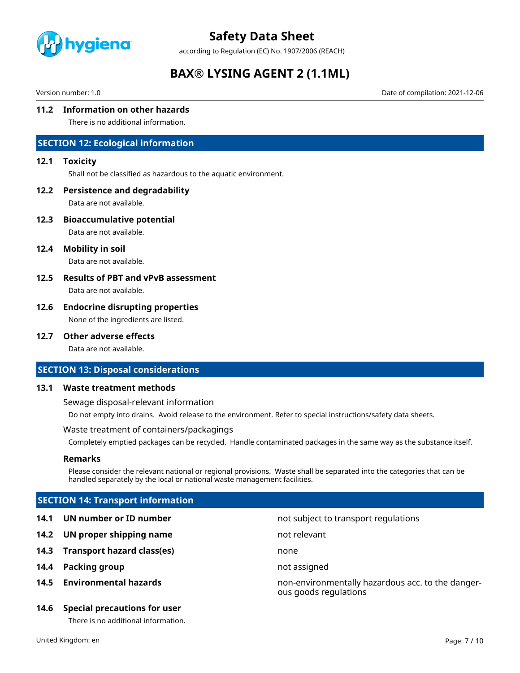

according to Regulation (EC) No. 1907/2006 (REACH)

# **BAX® LYSING AGENT 2 (1.1ML)**

Version number: 1.0 Date of compilation: 2021-12-06

### **11.2 Information on other hazards**

There is no additional information.

### **SECTION 12: Ecological information**

#### **12.1 Toxicity**

Shall not be classified as hazardous to the aquatic environment.

#### **12.2 Persistence and degradability**

Data are not available.

**12.3 Bioaccumulative potential**

Data are not available.

**12.4 Mobility in soil**

Data are not available.

# **12.5 Results of PBT and vPvB assessment**

Data are not available.

### **12.6 Endocrine disrupting properties**

None of the ingredients are listed.

#### **12.7 Other adverse effects**

Data are not available.

#### **SECTION 13: Disposal considerations**

#### **13.1 Waste treatment methods**

Sewage disposal-relevant information

Do not empty into drains. Avoid release to the environment. Refer to special instructions/safety data sheets.

#### Waste treatment of containers/packagings

Completely emptied packages can be recycled. Handle contaminated packages in the same way as the substance itself.

#### **Remarks**

Please consider the relevant national or regional provisions. Waste shall be separated into the categories that can be handled separately by the local or national waste management facilities.

ous goods regulations

# **SECTION 14: Transport information**

- **14.1 UN number or ID number not subject to transport regulations**
- **14.2 UN proper shipping name** not relevant
- **14.3 Transport hazard class(es)** none
- **14.4 Packing group not assigned**
- **14.5 Environmental hazards** non-environmentally hazardous acc. to the danger-

#### **14.6 Special precautions for user**

There is no additional information.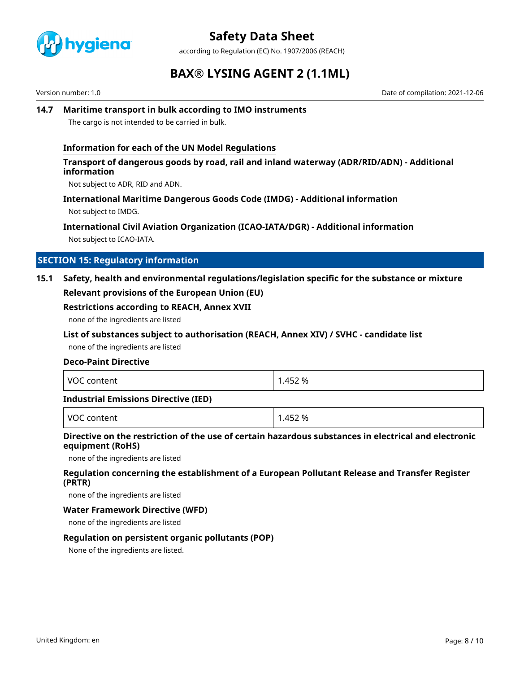

according to Regulation (EC) No. 1907/2006 (REACH)

# **BAX® LYSING AGENT 2 (1.1ML)**

Version number: 1.0 Date of compilation: 2021-12-06

### **14.7 Maritime transport in bulk according to IMO instruments**

The cargo is not intended to be carried in bulk.

### **Information for each of the UN Model Regulations**

#### **Transport of dangerous goods by road, rail and inland waterway (ADR/RID/ADN) - Additional information**

Not subject to ADR, RID and ADN.

#### **International Maritime Dangerous Goods Code (IMDG) - Additional information**

Not subject to IMDG.

# **International Civil Aviation Organization (ICAO-IATA/DGR) - Additional information**

Not subject to ICAO-IATA.

### **SECTION 15: Regulatory information**

# **15.1 Safety, health and environmental regulations/legislation specific for the substance or mixture Relevant provisions of the European Union (EU)**

#### **Restrictions according to REACH, Annex XVII**

none of the ingredients are listed

#### **List of substances subject to authorisation (REACH, Annex XIV) / SVHC - candidate list**

none of the ingredients are listed

#### **Deco-Paint Directive**

| l voc<br>content | .452 %<br>$\overline{\phantom{a}}$ |
|------------------|------------------------------------|
|------------------|------------------------------------|

#### **Industrial Emissions Directive (IED)**

| VOC<br>52 %<br>- -<br>$+$ $\sim$<br>- 45<br>. |  |
|-----------------------------------------------|--|
|-----------------------------------------------|--|

### **Directive on the restriction of the use of certain hazardous substances in electrical and electronic equipment (RoHS)**

none of the ingredients are listed

### **Regulation concerning the establishment of a European Pollutant Release and Transfer Register (PRTR)**

none of the ingredients are listed

#### **Water Framework Directive (WFD)**

none of the ingredients are listed

#### **Regulation on persistent organic pollutants (POP)**

None of the ingredients are listed.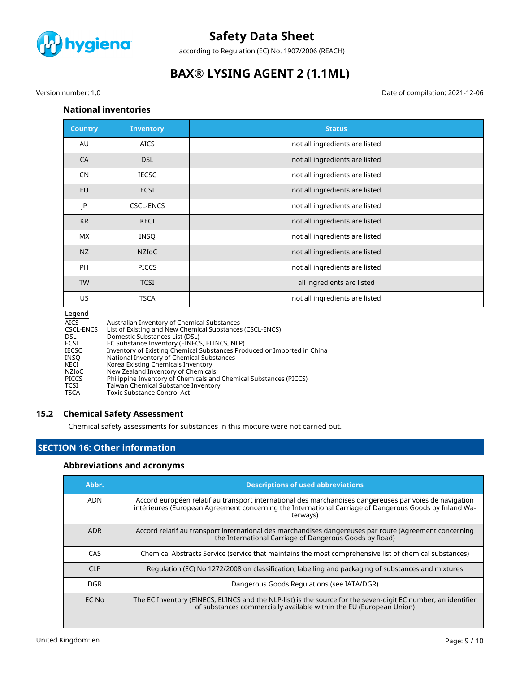

according to Regulation (EC) No. 1907/2006 (REACH)

# **BAX® LYSING AGENT 2 (1.1ML)**

Version number: 1.0 Date of compilation: 2021-12-06

### **National inventories**

| <b>Country</b> | <b>Inventory</b> | <b>Status</b>                  |
|----------------|------------------|--------------------------------|
| AU             | <b>AICS</b>      | not all ingredients are listed |
| CA             | <b>DSL</b>       | not all ingredients are listed |
| <b>CN</b>      | <b>IECSC</b>     | not all ingredients are listed |
| EU             | ECSI             | not all ingredients are listed |
| JP             | <b>CSCL-ENCS</b> | not all ingredients are listed |
| <b>KR</b>      | KECI             | not all ingredients are listed |
| MX             | <b>INSQ</b>      | not all ingredients are listed |
| NZ             | <b>NZIOC</b>     | not all ingredients are listed |
| PH             | <b>PICCS</b>     | not all ingredients are listed |
| <b>TW</b>      | <b>TCSI</b>      | all ingredients are listed     |
| US             | <b>TSCA</b>      | not all ingredients are listed |

#### Legend

| <b>AICS</b> | Australian Inventory of Chemical Substances                             |
|-------------|-------------------------------------------------------------------------|
| CSCL-ENCS   | List of Existing and New Chemical Substances (CSCL-ENCS)                |
| <b>DSL</b>  | Domestic Substances List (DSL)                                          |
| ECSI        | EC Substance Inventory (EINECS, ELINCS, NLP)                            |
| IECSC       | Inventory of Existing Chemical Substances Produced or Imported in China |
| INSO        | National Inventory of Chemical Substances                               |
| KECI        | Korea Existing Chemicals Inventory                                      |
| NZIoC       | New Zealand Inventory of Chemicals                                      |
| PICCS       | Philippine Inventory of Chemicals and Chemical Substances (PICCS)       |
| TCSI        | Taiwan Chemical Substance Inventory                                     |
| TSCA        | <b>Toxic Substance Control Act</b>                                      |

### **15.2 Chemical Safety Assessment**

Chemical safety assessments for substances in this mixture were not carried out.

# **SECTION 16: Other information**

# **Abbreviations and acronyms**

| Abbr.      | <b>Descriptions of used abbreviations</b>                                                                                                                                                                                     |
|------------|-------------------------------------------------------------------------------------------------------------------------------------------------------------------------------------------------------------------------------|
| <b>ADN</b> | Accord européen relatif au transport international des marchandises dangereuses par voies de navigation<br>intérieures (European Agreement concerning the International Carriage of Dangerous Goods by Inland Wa-<br>terways) |
| <b>ADR</b> | Accord relatif au transport international des marchandises dangereuses par route (Agreement concerning<br>the International Carriage of Dangerous Goods by Road)                                                              |
| CAS        | Chemical Abstracts Service (service that maintains the most comprehensive list of chemical substances)                                                                                                                        |
| <b>CLP</b> | Regulation (EC) No 1272/2008 on classification, labelling and packaging of substances and mixtures                                                                                                                            |
| <b>DGR</b> | Dangerous Goods Regulations (see IATA/DGR)                                                                                                                                                                                    |
| EC No      | The EC Inventory (EINECS, ELINCS and the NLP-list) is the source for the seven-digit EC number, an identifier<br>of substances commercially available within the EU (European Union)                                          |